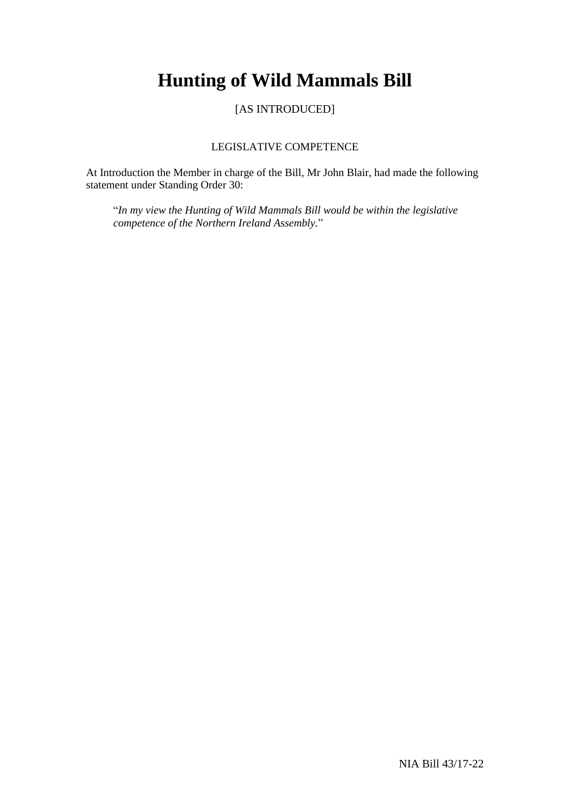# **Hunting of Wild Mammals Bill**

[AS INTRODUCED]

## LEGISLATIVE COMPETENCE

At Introduction the Member in charge of the Bill, Mr John Blair, had made the following statement under Standing Order 30:

"*In my view the Hunting of Wild Mammals Bill would be within the legislative competence of the Northern Ireland Assembly.*"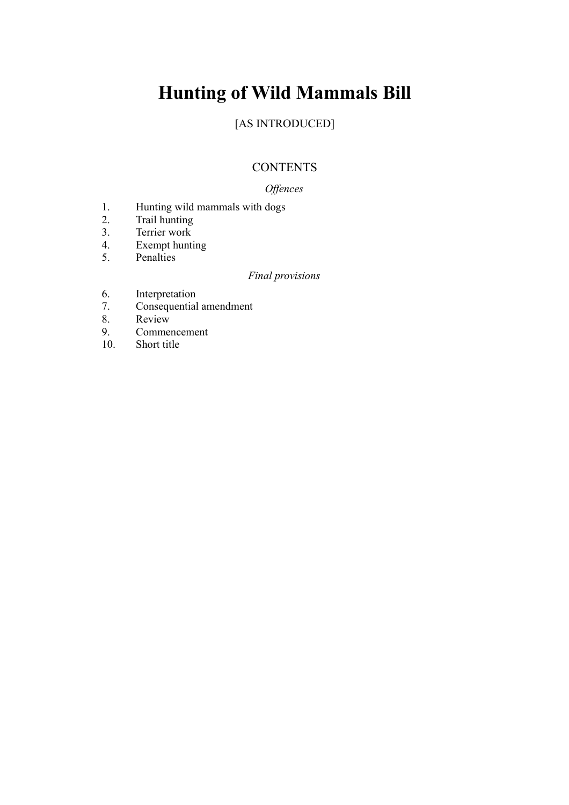# **Hunting of Wild Mammals Bill**

## [AS INTRODUCED]

## **CONTENTS**

## *Offences*

- 1. Hunting wild mammals with dogs<br>2. Trail hunting
- Trail hunting
- 3. Terrier work
- 4. Exempt hunting
- 5. Penalties

## *Final provisions*

- 6. Interpretation
- 7. Consequential amendment
- 8. Review<br>9. Commer
- 9. Commencement
- 10. Short title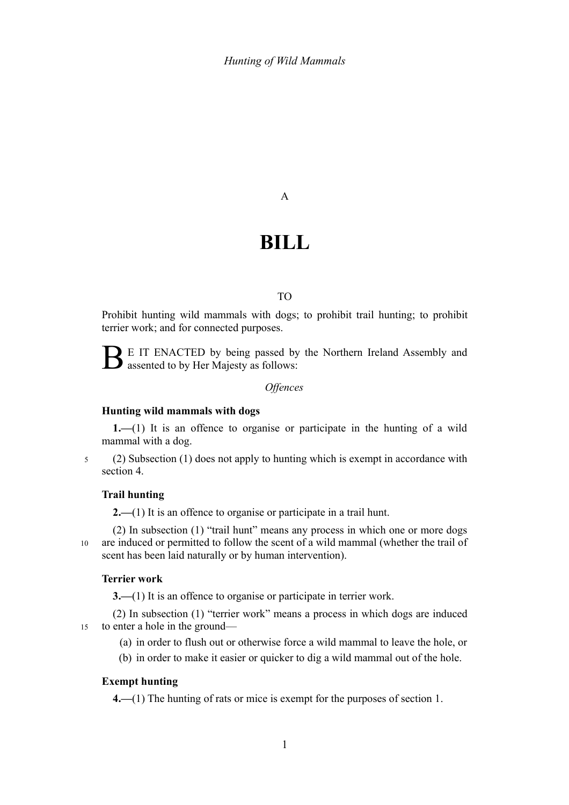A

## **BILL**

#### TO

Prohibit hunting wild mammals with dogs; to prohibit trail hunting; to prohibit terrier work; and for connected purposes.

 $\sum$  E IT ENACTED by being passed by the Northern Ireland Assembly and assented to by Her Majesty as follows:

#### *Offences*

#### **Hunting wild mammals with dogs**

<span id="page-4-1"></span><span id="page-4-0"></span>**1.—**(1) It is an offence to organise or participate in the hunting of a wild mammal with a dog.

5

## (2) Subsection [\(1\)](#page-4-0) does not apply to hunting which is exempt in accordance with section [4.](#page-4-4)

#### **Trail hunting**

<span id="page-4-3"></span>**2.—**(1) It is an offence to organise or participate in a trail hunt.

(2) In subsection [\(1\)](#page-4-3) "trail hunt" means any process in which one or more dogs are induced or permitted to follow the scent of a wild mammal (whether the trail of scent has been laid naturally or by human intervention). 10

#### **Terrier work**

<span id="page-4-2"></span>**3.—(1)** It is an offence to organise or participate in terrier work.

(2) In subsection [\(1\)](#page-4-2) "terrier work" means a process in which dogs are induced to enter a hole in the ground— 15

- (a) in order to flush out or otherwise force a wild mammal to leave the hole, or
- (b) in order to make it easier or quicker to dig a wild mammal out of the hole.

#### **Exempt hunting**

<span id="page-4-4"></span>**4.—**(1) The hunting of rats or mice is exempt for the purposes of section [1.](#page-4-1)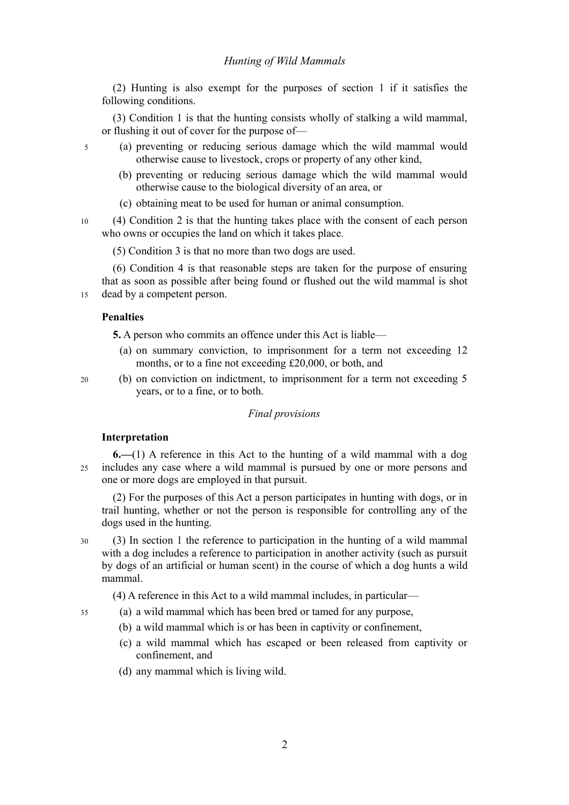#### *Hunting of Wild Mammals*

(2) Hunting is also exempt for the purposes of section [1](#page-4-1) if it satisfies the following conditions.

(3) Condition 1 is that the hunting consists wholly of stalking a wild mammal, or flushing it out of cover for the purpose of—

- (a) preventing or reducing serious damage which the wild mammal would otherwise cause to livestock, crops or property of any other kind,
	- (b) preventing or reducing serious damage which the wild mammal would otherwise cause to the biological diversity of an area, or
	- (c) obtaining meat to be used for human or animal consumption.

(4) Condition 2 is that the hunting takes place with the consent of each person who owns or occupies the land on which it takes place. 10

(5) Condition 3 is that no more than two dogs are used.

(6) Condition 4 is that reasonable steps are taken for the purpose of ensuring that as soon as possible after being found or flushed out the wild mammal is shot dead by a competent person. 15

#### **Penalties**

5

**5.** A person who commits an offence under this Act is liable—

- (a) on summary conviction, to imprisonment for a term not exceeding 12 months, or to a fine not exceeding £20,000, or both, and
- (b) on conviction on indictment, to imprisonment for a term not exceeding 5 years, or to a fine, or to both. 20

#### *Final provisions*

#### **Interpretation**

35

**6.—**(1) A reference in this Act to the hunting of a wild mammal with a dog includes any case where a wild mammal is pursued by one or more persons and one or more dogs are employed in that pursuit.  $25$ 

(2) For the purposes of this Act a person participates in hunting with dogs, or in trail hunting, whether or not the person is responsible for controlling any of the dogs used in the hunting.

- (3) In section [1](#page-4-1) the reference to participation in the hunting of a wild mammal with a dog includes a reference to participation in another activity (such as pursuit by dogs of an artificial or human scent) in the course of which a dog hunts a wild mammal. 30
	- (4) A reference in this Act to a wild mammal includes, in particular—
	- (a) a wild mammal which has been bred or tamed for any purpose,
		- (b) a wild mammal which is or has been in captivity or confinement,
		- (c) a wild mammal which has escaped or been released from captivity or confinement, and
		- (d) any mammal which is living wild.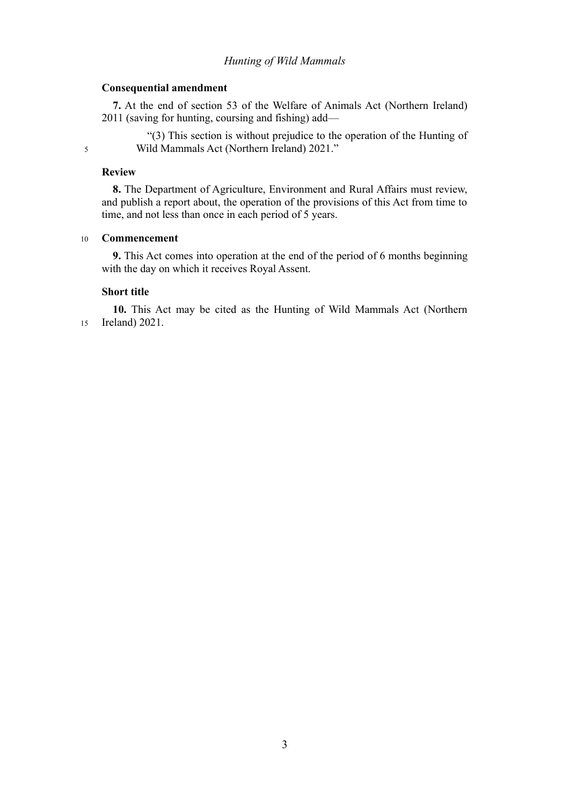#### *Hunting of Wild Mammals*

#### **Consequential amendment**

**7.** At the end of section 53 of the Welfare of Animals Act (Northern Ireland) 2011 (saving for hunting, coursing and fishing) add—

"(3) This section is without prejudice to the operation of the Hunting of Wild Mammals Act (Northern Ireland) 2021."

#### **Review**

5

**8.** The Department of Agriculture, Environment and Rural Affairs must review, and publish a report about, the operation of the provisions of this Act from time to time, and not less than once in each period of 5 years.

#### **Commencement** 10

**9.** This Act comes into operation at the end of the period of 6 months beginning with the day on which it receives Royal Assent.

### **Short title**

**10.** This Act may be cited as the Hunting of Wild Mammals Act (Northern Ireland) 2021. 15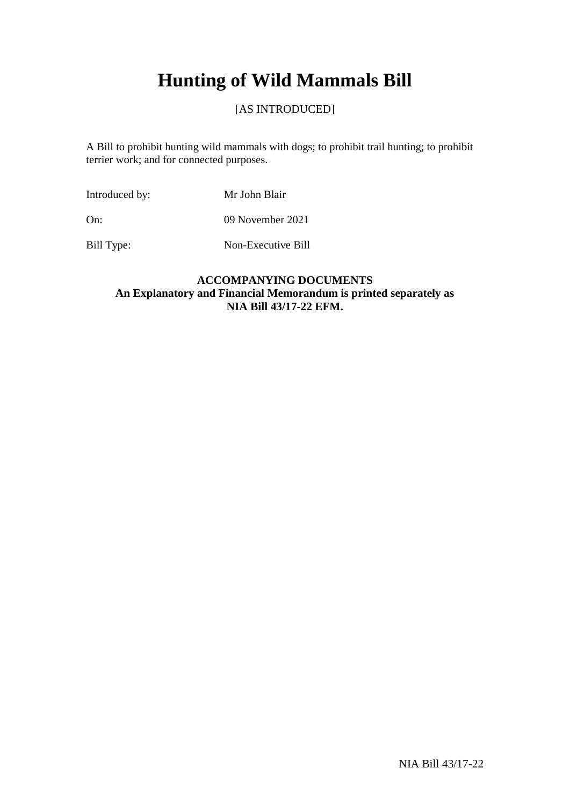# **Hunting of Wild Mammals Bill**

## [AS INTRODUCED]

A Bill to prohibit hunting wild mammals with dogs; to prohibit trail hunting; to prohibit terrier work; and for connected purposes.

Introduced by: Mr John Blair

On: 09 November 2021

Bill Type: Non-Executive Bill

## **ACCOMPANYING DOCUMENTS An Explanatory and Financial Memorandum is printed separately as NIA Bill 43/17-22 EFM.**